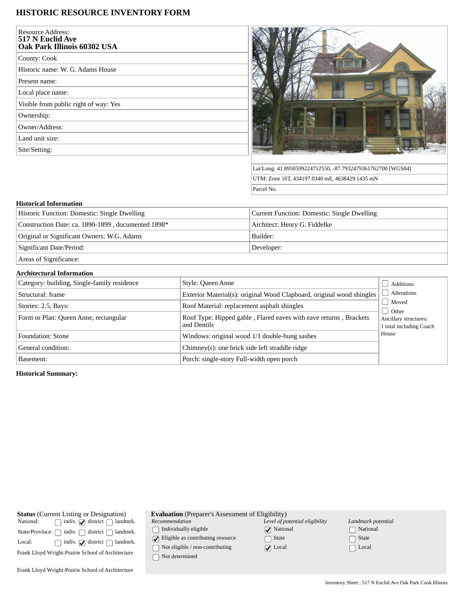## **HISTORIC RESOURCE INVENTORY FORM**

| <b>Resource Address:</b><br>517 N Euclid Ave<br>Oak Park Illinois 60302 USA |  |
|-----------------------------------------------------------------------------|--|
| County: Cook                                                                |  |
| Historic name: W. G. Adams House                                            |  |
| Present name:                                                               |  |
| Local place name:                                                           |  |
| Visible from public right of way: Yes                                       |  |
| Ownership:                                                                  |  |
| Owner/Address:                                                              |  |
| Land unit size:                                                             |  |
| Site/Setting:                                                               |  |
|                                                                             |  |



Lat/Long: 41.8950599224712550, -87.7932479361762700 [WGS84] UTM: Zone 16T, 434197.0340 mE, 4638429.1435 mN Parcel No.

## **Historical Information**

| Historic Function: Domestic: Single Dwelling       | Current Function: Domestic: Single Dwelling |
|----------------------------------------------------|---------------------------------------------|
| Construction Date: ca. 1890-1899, documented 1898* | Architect: Henry G. Fiddelke                |
| Original or Significant Owners: W.G. Adams         | Builder:                                    |
| Significant Date/Period:                           | Developer:                                  |
| $\mathcal{C}$ $\sim$ $\mathcal{C}$                 |                                             |

Areas of Significance:

## **Architectural Information**

| Category: building, Single-family residence | Style: Queen Anne                                                                | Additions                                                   |
|---------------------------------------------|----------------------------------------------------------------------------------|-------------------------------------------------------------|
| Structural: frame                           | Exterior Material(s): original Wood Clapboard, original wood shingles            | Alterations                                                 |
| Stories: 2.5, Bays:                         | Roof Material: replacement asphalt shingles                                      | Moved                                                       |
| Form or Plan: Queen Anne, rectangular       | Roof Type: Hipped gable, Flared eaves with eave returns, Brackets<br>and Dentils | d Other<br>Ancillary structures:<br>1 total including Coach |
| Foundation: Stone                           | Windows: original wood 1/1 double-hung sashes                                    | House                                                       |
| General condition:                          | Chimney(s): one brick side left straddle ridge                                   |                                                             |
| Basement:                                   | Porch: single-story Full-width open porch                                        |                                                             |

**Historical Summary:**

| National: | <b>Status</b> (Current Listing or Designation)<br>$\Box$ indiv. $\Box$ district $\Box$ landmrk. |
|-----------|-------------------------------------------------------------------------------------------------|
|           | State/Province: $\bigcap$ indiv. $\bigcap$ district $\bigcap$ landmrk.                          |
| Local:    | $\Box$ indiv. $\Box$ district $\Box$ landmrk.                                                   |
|           | Frank Lloyd Wright-Prairie School of Architecture                                               |
|           | Frank Lloyd Wright-Prairie School of Architecture                                               |

|  | <b>Evaluation</b> (Preparer's Assessment of Eligibility) |  |
|--|----------------------------------------------------------|--|
|--|----------------------------------------------------------|--|

*Recommendation*

 $\hfill\textstyle\bigcap\textstyle\textstyle\bigcap\textstyle\textstyle\bigcap\textstyle\textstyle\textstyle\bigcap\textstyle\textstyle\bigcap\textstyle\textstyle\big$ 

 $\bigcirc$  Eligible as contributing resource

 $\overline{\bigcup}$  Not eligible / non-contributing

 $\bigcap$  Not determined

| Level of potential eligibility |
|--------------------------------|
| $\sqrt{\phantom{a}}$ National  |
| $\lceil \,\rceil$ State        |
| $\sqrt{\phantom{a}}$ Local     |

| Landmark potential         |
|----------------------------|
| [ ] National               |
| $\lceil \ \rceil$ State    |
| $\lceil \;\; \rceil$ Local |